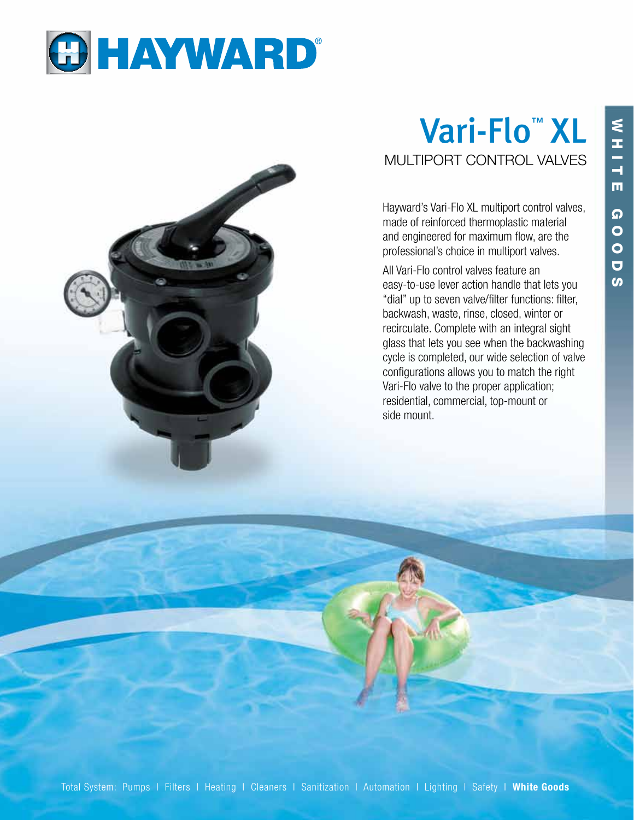



## Vari-Flo<sup>™</sup> XL MULTIPORT CONTROL VALVES

Hayward's Vari-Flo XL multiport control valves, made of reinforced thermoplastic material and engineered for maximum flow, are the professional's choice in multiport valves.

All Vari-Flo control valves feature an easy-to-use lever action handle that lets you "dial" up to seven valve/filter functions: filter, backwash, waste, rinse, closed, winter or recirculate. Complete with an integral sight glass that lets you see when the backwashing cycle is completed, our wide selection of valve configurations allows you to match the right Vari-Flo valve to the proper application; residential, commercial, top-mount or side mount.